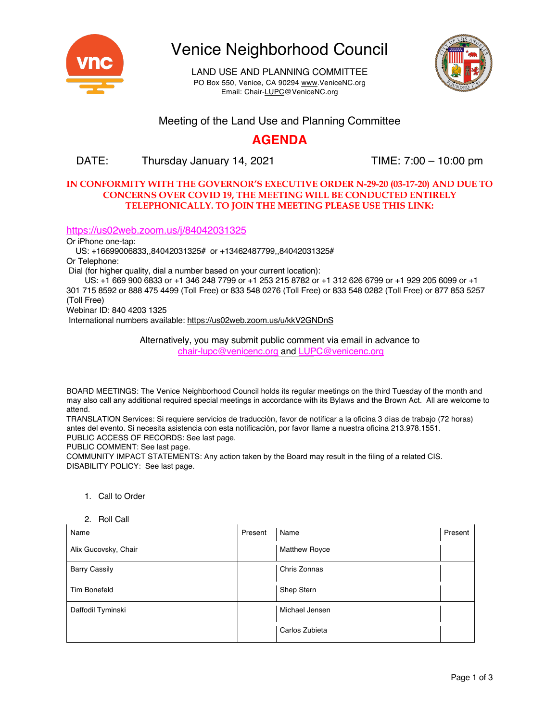

Venice Neighborhood Council

LAND USE AND PLANNING COMMITTEE PO Box 550, Venice, CA 90294 www.VeniceNC.org Email: Chair-LUPC@VeniceNC.org



### Meeting of the Land Use and Planning Committee

## **AGENDA**

### DATE: Thursday January 14, 2021 TIME: 7:00 – 10:00 pm

#### **IN CONFORMITY WITH THE GOVERNOR'S EXECUTIVE ORDER N-29-20 (03-17-20) AND DUE TO CONCERNS OVER COVID 19, THE MEETING WILL BE CONDUCTED ENTIRELY TELEPHONICALLY. TO JOIN THE MEETING PLEASE USE THIS LINK:**

#### https://us02web.zoom.us/j/84042031325

Or iPhone one-tap:

US: +16699006833,,84042031325# or +13462487799,,84042031325#

Or Telephone:

Dial (for higher quality, dial a number based on your current location):

US: +1 669 900 6833 or +1 346 248 7799 or +1 253 215 8782 or +1 312 626 6799 or +1 929 205 6099 or +1 301 715 8592 or 888 475 4499 (Toll Free) or 833 548 0276 (Toll Free) or 833 548 0282 (Toll Free) or 877 853 5257 (Toll Free)

Webinar ID: 840 4203 1325

International numbers available: https://us02web.zoom.us/u/kkV2GNDnS

Alternatively, you may submit public comment via email in advance to chair-lupc@venicenc.org and LUPC@venicenc.org

BOARD MEETINGS: The Venice Neighborhood Council holds its regular meetings on the third Tuesday of the month and may also call any additional required special meetings in accordance with its Bylaws and the Brown Act. All are welcome to attend.

TRANSLATION Services: Si requiere servicios de traducción, favor de notificar a la oficina 3 días de trabajo (72 horas) antes del evento. Si necesita asistencia con esta notificación, por favor llame a nuestra oficina 213.978.1551. PUBLIC ACCESS OF RECORDS: See last page.

PUBLIC COMMENT: See last page.

COMMUNITY IMPACT STATEMENTS: Any action taken by the Board may result in the filing of a related CIS. DISABILITY POLICY: See last page.

1. Call to Order

#### 2. Roll Call

| Name                 | Present | Name                 | Present |
|----------------------|---------|----------------------|---------|
| Alix Gucovsky, Chair |         | <b>Matthew Royce</b> |         |
| <b>Barry Cassily</b> |         | Chris Zonnas         |         |
| <b>Tim Bonefeld</b>  |         | Shep Stern           |         |
| Daffodil Tyminski    |         | Michael Jensen       |         |
|                      |         | Carlos Zubieta       |         |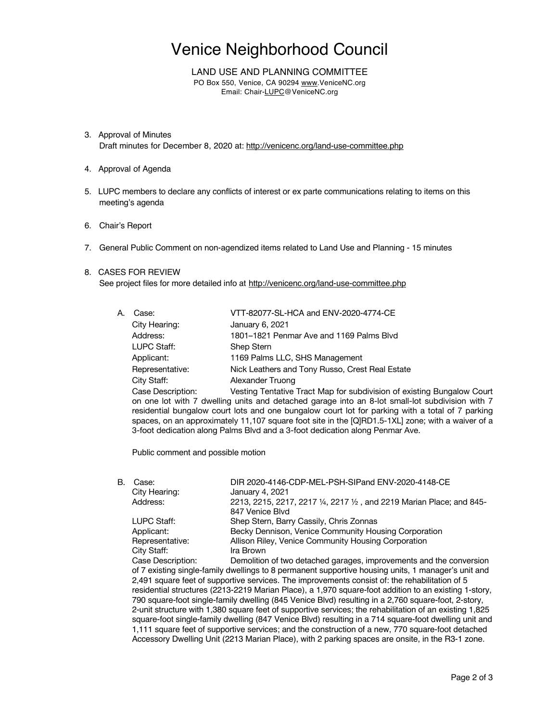# Venice Neighborhood Council

#### LAND USE AND PLANNING COMMITTEE

PO Box 550, Venice, CA 90294 www.VeniceNC.org Email: Chair-LUPC@VeniceNC.org

- 3. Approval of Minutes Draft minutes for December 8, 2020 at: http://venicenc.org/land-use-committee.php
- 4. Approval of Agenda
- 5. LUPC members to declare any conflicts of interest or ex parte communications relating to items on this meeting's agenda
- 6. Chair's Report
- 7. General Public Comment on non-agendized items related to Land Use and Planning 15 minutes

#### 8. CASES FOR REVIEW

See project files for more detailed info at http://venicenc.org/land-use-committee.php

| A. | Case:             | VTT-82077-SL-HCA and ENV-2020-4774-CE                |
|----|-------------------|------------------------------------------------------|
|    | City Hearing:     | January 6, 2021                                      |
|    | Address:          | 1801–1821 Penmar Ave and 1169 Palms Blvd             |
|    | LUPC Staff:       | Shep Stern                                           |
|    | Applicant:        | 1169 Palms LLC, SHS Management                       |
|    | Representative:   | Nick Leathers and Tony Russo, Crest Real Estate      |
|    | City Staff:       | Alexander Truong                                     |
|    | Case Description: | Vesting Tentative Tract Map for subdivision of exist |

ting Bungalow Court on one lot with 7 dwelling units and detached garage into an 8-lot small-lot subdivision with 7 residential bungalow court lots and one bungalow court lot for parking with a total of 7 parking spaces, on an approximately 11,107 square foot site in the [Q]RD1.5-1XL] zone; with a waiver of a 3-foot dedication along Palms Blvd and a 3-foot dedication along Penmar Ave.

Public comment and possible motion

| В. | Case:             | DIR 2020-4146-CDP-MEL-PSH-SIPand ENV-2020-4148-CE                     |
|----|-------------------|-----------------------------------------------------------------------|
|    | City Hearing:     | January 4, 2021                                                       |
|    | Address:          | 2213, 2215, 2217, 2217 1/4, 2217 1/2, and 2219 Marian Place; and 845- |
|    |                   | 847 Venice Blvd                                                       |
|    | LUPC Staff:       | Shep Stern, Barry Cassily, Chris Zonnas                               |
|    | Applicant:        | Becky Dennison, Venice Community Housing Corporation                  |
|    | Representative:   | Allison Riley, Venice Community Housing Corporation                   |
|    | City Staff:       | Ira Brown                                                             |
|    | Case Description: | Demolition of two detached garages, improvements and the conversion   |

scription: Demolition of two detached garages, improvements and the conversion of 7 existing single-family dwellings to 8 permanent supportive housing units, 1 manager's unit and 2,491 square feet of supportive services. The improvements consist of: the rehabilitation of 5 residential structures (2213-2219 Marian Place), a 1,970 square-foot addition to an existing 1-story, 790 square-foot single-family dwelling (845 Venice Blvd) resulting in a 2,760 square-foot, 2-story, 2-unit structure with 1,380 square feet of supportive services; the rehabilitation of an existing 1,825 square-foot single-family dwelling (847 Venice Blvd) resulting in a 714 square-foot dwelling unit and 1,111 square feet of supportive services; and the construction of a new, 770 square-foot detached Accessory Dwelling Unit (2213 Marian Place), with 2 parking spaces are onsite, in the R3-1 zone.